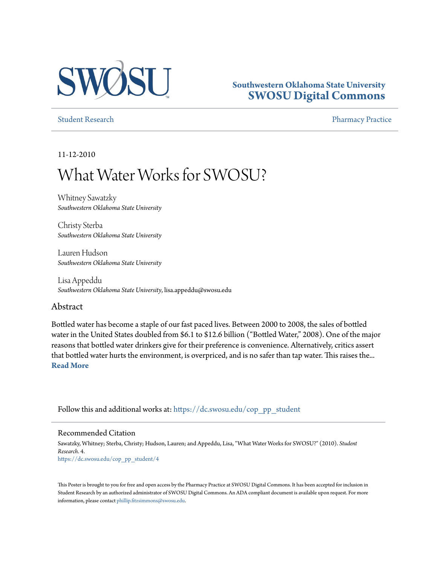

## **Southwestern Oklahoma State University [SWOSU Digital Commons](https://dc.swosu.edu/?utm_source=dc.swosu.edu%2Fcop_pp_student%2F4&utm_medium=PDF&utm_campaign=PDFCoverPages)**

[Student Research](https://dc.swosu.edu/cop_pp_student?utm_source=dc.swosu.edu%2Fcop_pp_student%2F4&utm_medium=PDF&utm_campaign=PDFCoverPages) **[Pharmacy Practice](https://dc.swosu.edu/pp?utm_source=dc.swosu.edu%2Fcop_pp_student%2F4&utm_medium=PDF&utm_campaign=PDFCoverPages)** 

11-12-2010

# What Water Works for SWOSU?

Whitney Sawatzky *Southwestern Oklahoma State University*

Christy Sterba *Southwestern Oklahoma State University*

Lauren Hudson *Southwestern Oklahoma State University*

Lisa Appeddu *Southwestern Oklahoma State University*, lisa.appeddu@swosu.edu

#### Abstract

Bottled water has become a staple of our fast paced lives. Between 2000 to 2008, the sales of bottled water in the United States doubled from \$6.1 to \$12.6 billion ("Bottled Water," 2008). One of the major reasons that bottled water drinkers give for their preference is convenience. Alternatively, critics assert that bottled water hurts the environment, is overpriced, and is no safer than tap water. This raises the... **[Read More](https://dc.swosu.edu/cop_pp_student/4)**

Follow this and additional works at: [https://dc.swosu.edu/cop\\_pp\\_student](https://dc.swosu.edu/cop_pp_student?utm_source=dc.swosu.edu%2Fcop_pp_student%2F4&utm_medium=PDF&utm_campaign=PDFCoverPages)

#### Recommended Citation

Sawatzky, Whitney; Sterba, Christy; Hudson, Lauren; and Appeddu, Lisa, "What Water Works for SWOSU?" (2010). *Student Research*. 4. [https://dc.swosu.edu/cop\\_pp\\_student/4](https://dc.swosu.edu/cop_pp_student/4?utm_source=dc.swosu.edu%2Fcop_pp_student%2F4&utm_medium=PDF&utm_campaign=PDFCoverPages)

This Poster is brought to you for free and open access by the Pharmacy Practice at SWOSU Digital Commons. It has been accepted for inclusion in Student Research by an authorized administrator of SWOSU Digital Commons. An ADA compliant document is available upon request. For more information, please contact [phillip.fitzsimmons@swosu.edu](mailto:phillip.fitzsimmons@swosu.edu).